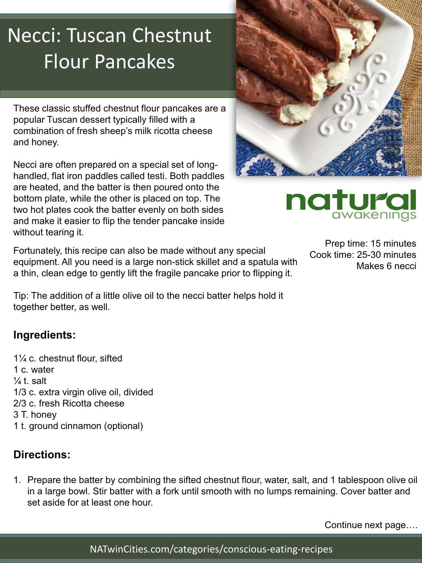# Necci: Tuscan Chestnut Flour Pancakes

These classic stuffed chestnut flour pancakes are a popular Tuscan dessert typically filled with a combination of fresh sheep's milk ricotta cheese and honey.

Necci are often prepared on a special set of longhandled, flat iron paddles called testi. Both paddles are heated, and the batter is then poured onto the bottom plate, while the other is placed on top. The two hot plates cook the batter evenly on both sides and make it easier to flip the tender pancake inside without tearing it.

Fortunately, this recipe can also be made without any special equipment. All you need is a large non-stick skillet and a spatula with a thin, clean edge to gently lift the fragile pancake prior to flipping it.

Tip: The addition of a little olive oil to the necci batter helps hold it together better, as well.

### **Ingredients:**

1¼ c. chestnut flour, sifted 1 c. water  $\frac{1}{4}$ t. salt 1/3 c. extra virgin olive oil, divided 2/3 c. fresh Ricotta cheese 3 T. honey 1 t. ground cinnamon (optional)

## **Directions:**

1. Prepare the batter by combining the sifted chestnut flour, water, salt, and 1 tablespoon olive oil in a large bowl. Stir batter with a fork until smooth with no lumps remaining. Cover batter and set aside for at least one hour.

Prep time: 15 minutes Cook time: 25-30 minutes Makes 6 necci

awakenings

natura

Continue next page….